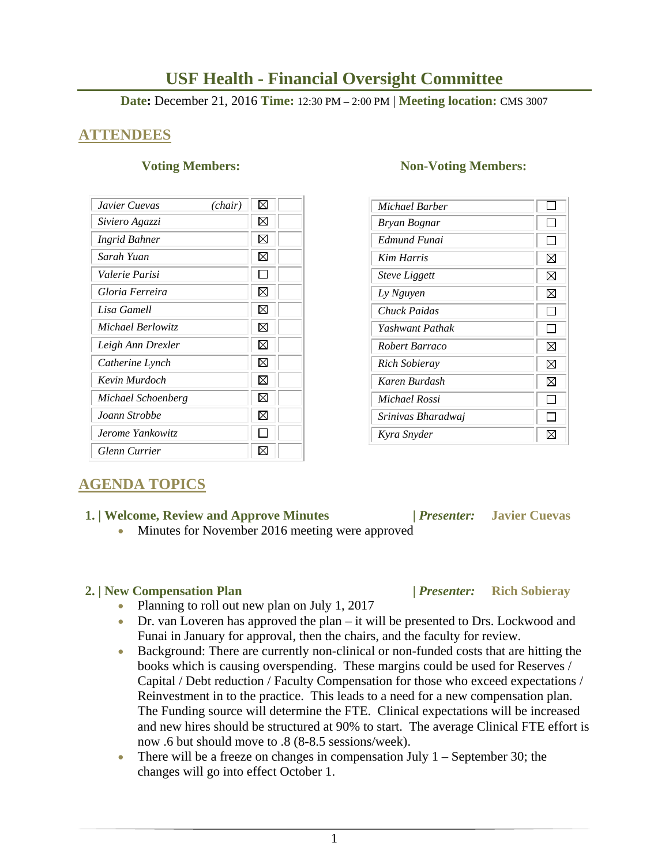# **USF Health - Financial Oversight Committee**

**Date:** December 21, 2016 **Time:** 12:30 PM – 2:00 PM | **Meeting location:** CMS 3007

### **ATTENDEES**

| Javier Cuevas        | (chair) | ⊠ |
|----------------------|---------|---|
| Siviero Agazzi       |         | ⊠ |
| Ingrid Bahner        |         | ⊠ |
| Sarah Yuan           |         | ⊠ |
| Valerie Parisi       |         |   |
| Gloria Ferreira      |         | ⊠ |
| Lisa Gamell          |         | ⊠ |
| Michael Berlowitz    |         | ⊠ |
| Leigh Ann Drexler    |         | ⊠ |
| Catherine Lynch      |         | ⊠ |
| Kevin Murdoch        |         | ⊠ |
| Michael Schoenberg   |         | ⊠ |
| Joann Strobbe        |         | ⊠ |
| Jerome Yankowitz     |         |   |
| <b>Glenn Currier</b> |         |   |

### **Voting Members:** Non-Voting Members:

| Michael Barber       |   |
|----------------------|---|
| Bryan Bognar         |   |
| Edmund Funai         |   |
| <b>Kim Harris</b>    | ⊠ |
| <b>Steve Liggett</b> | ⊠ |
| Ly Nguyen            | ⊠ |
| Chuck Paidas         |   |
| Yashwant Pathak      |   |
| Robert Barraco       | ⊠ |
| <b>Rich Sobieray</b> | ⊠ |
| Karen Burdash        | ⊠ |
| Michael Rossi        |   |
| Srinivas Bharadwaj   |   |
| Kyra Snyder          |   |

## **AGENDA TOPICS**

### **1. | Welcome, Review and Approve Minutes****|** *Presenter:* **Javier Cuevas**

Minutes for November 2016 meeting were approved

### **2. | New Compensation Plan |** *Presenter:* **Rich Sobieray**

- Planning to roll out new plan on July 1, 2017
- Dr. van Loveren has approved the plan it will be presented to Drs. Lockwood and Funai in January for approval, then the chairs, and the faculty for review.
- Background: There are currently non-clinical or non-funded costs that are hitting the books which is causing overspending. These margins could be used for Reserves / Capital / Debt reduction / Faculty Compensation for those who exceed expectations / Reinvestment in to the practice. This leads to a need for a new compensation plan. The Funding source will determine the FTE. Clinical expectations will be increased and new hires should be structured at 90% to start. The average Clinical FTE effort is now .6 but should move to .8 (8-8.5 sessions/week).
- There will be a freeze on changes in compensation July  $1 -$  September 30; the changes will go into effect October 1.